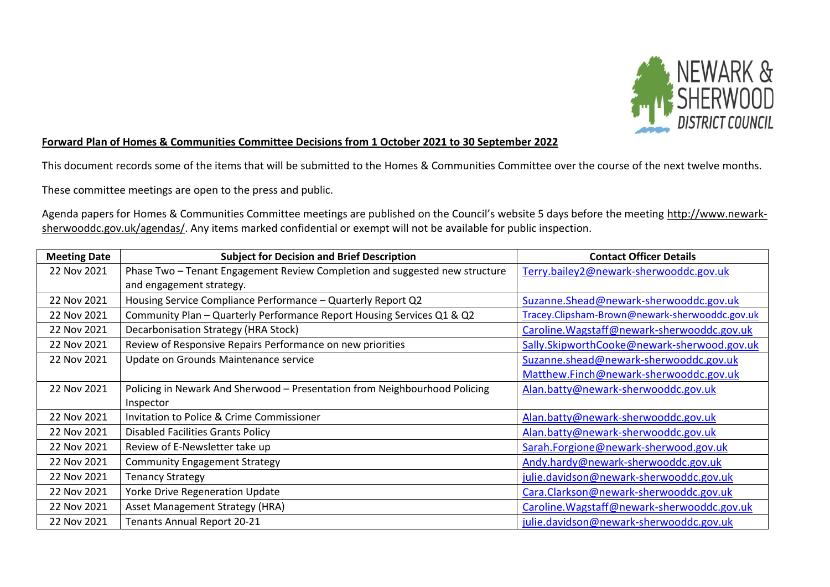

## **Forward Plan of Homes & Communities Committee Decisions from 1 October 2021 to 30 September 2022**

This document records some of the items that will be submitted to the Homes & Communities Committee over the course of the next twelve months.

These committee meetings are open to the press and public.

Agenda papers for Homes & Communities Committee meetings are published on the Council's website 5 days before the meeting [http://www.newark](http://www.newark-sherwooddc.gov.uk/agendas/)[sherwooddc.gov.uk/agendas/.](http://www.newark-sherwooddc.gov.uk/agendas/) Any items marked confidential or exempt will not be available for public inspection.

| <b>Meeting Date</b> | <b>Subject for Decision and Brief Description</b>                           | <b>Contact Officer Details</b>                 |
|---------------------|-----------------------------------------------------------------------------|------------------------------------------------|
| 22 Nov 2021         | Phase Two - Tenant Engagement Review Completion and suggested new structure | Terry.bailey2@newark-sherwooddc.gov.uk         |
|                     | and engagement strategy.                                                    |                                                |
| 22 Nov 2021         | Housing Service Compliance Performance - Quarterly Report Q2                | Suzanne.Shead@newark-sherwooddc.gov.uk         |
| 22 Nov 2021         | Community Plan - Quarterly Performance Report Housing Services Q1 & Q2      | Tracey.Clipsham-Brown@newark-sherwooddc.gov.uk |
| 22 Nov 2021         | Decarbonisation Strategy (HRA Stock)                                        | Caroline. Wagstaff@newark-sherwooddc.gov.uk    |
| 22 Nov 2021         | Review of Responsive Repairs Performance on new priorities                  | Sally.SkipworthCooke@newark-sherwood.gov.uk    |
| 22 Nov 2021         | Update on Grounds Maintenance service                                       | Suzanne.shead@newark-sherwooddc.gov.uk         |
|                     |                                                                             | Matthew.Finch@newark-sherwooddc.gov.uk         |
| 22 Nov 2021         | Policing in Newark And Sherwood - Presentation from Neighbourhood Policing  | Alan.batty@newark-sherwooddc.gov.uk            |
|                     | Inspector                                                                   |                                                |
| 22 Nov 2021         | Invitation to Police & Crime Commissioner                                   | Alan.batty@newark-sherwooddc.gov.uk            |
| 22 Nov 2021         | <b>Disabled Facilities Grants Policy</b>                                    | Alan.batty@newark-sherwooddc.gov.uk            |
| 22 Nov 2021         | Review of E-Newsletter take up                                              | Sarah.Forgione@newark-sherwood.gov.uk          |
| 22 Nov 2021         | <b>Community Engagement Strategy</b>                                        | Andy.hardy@newark-sherwooddc.gov.uk            |
| 22 Nov 2021         | <b>Tenancy Strategy</b>                                                     | julie.davidson@newark-sherwooddc.gov.uk        |
| 22 Nov 2021         | <b>Yorke Drive Regeneration Update</b>                                      | Cara.Clarkson@newark-sherwooddc.gov.uk         |
| 22 Nov 2021         | <b>Asset Management Strategy (HRA)</b>                                      | Caroline. Wagstaff@newark-sherwooddc.gov.uk    |
| 22 Nov 2021         | <b>Tenants Annual Report 20-21</b>                                          | julie.davidson@newark-sherwooddc.gov.uk        |